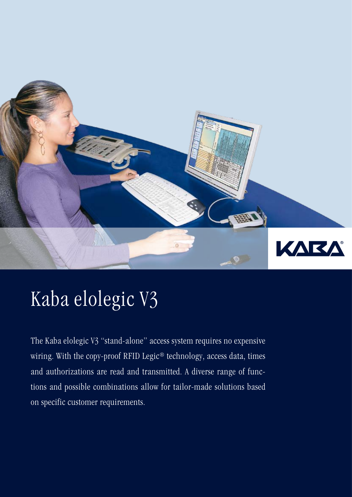

# Kaba elolegic V3

The Kaba elolegic V3 "stand-alone" access system requires no expensive wiring. With the copy-proof RFID Legic® technology, access data, times and authorizations are read and transmitted. A diverse range of functions and possible combinations allow for tailor-made solutions based on specific customer requirements.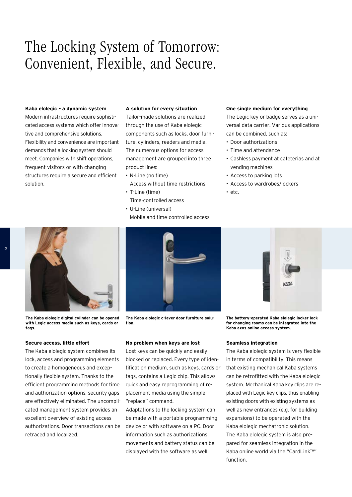### The Locking System of Tomorrow: Convenient, Flexible, and Secure.

#### **Kaba elolegic – a dynamic system**

Modern infrastructures require sophisticated access systems which offer innovative and comprehensive solutions. Flexibility and convenience are important demands that a locking system should meet. Companies with shift operations, frequent visitors or with changing structures require a secure and efficient solution.

#### **A solution for every situation**

Tailor-made solutions are realized through the use of Kaba elolegic components such as locks, door furniture, cylinders, readers and media. The numerous options for access management are grouped into three product lines:

- N-Line (no time) Access without time restrictions • T-Line (time)
- Time-controlled access
- U-Line (universal) Mobile and time-controlled access

#### **One single medium for everything**

The Legic key or badge serves as a universal data carrier. Various applications can be combined, such as:

- Door authorizations
- Time and attendance
- Cashless payment at cafeterias and at vending machines
- Access to parking lots
- Access to wardrobes/lockers
- etc.



**The Kaba elolegic digital cylinder can be opened with Legic access media such as keys, cards or tags.** 

#### **Secure access, little effort**

The Kaba elolegic system combines its lock, access and programming elements to create a homogeneous and exceptionally flexible system. Thanks to the efficient programming methods for time and authorization options, security gaps are effectively eliminated. The uncomplicated management system provides an excellent overview of existing access authorizations. Door transactions can be retraced and localized.



**The Kaba elolegic c-lever door furniture solution.** 

#### **No problem when keys are lost**

Lost keys can be quickly and easily blocked or replaced. Every type of identification medium, such as keys, cards or tags, contains a Legic chip. This allows quick and easy reprogramming of replacement media using the simple "replace" command.

Adaptations to the locking system can be made with a portable programming device or with software on a PC. Door information such as authorizations, movements and battery status can be displayed with the software as well.



**The battery-operated Kaba elolegic locker lock for changing rooms can be integrated into the Kaba exos online access system.** 

#### **Seamless integration**

The Kaba elolegic system is very flexible in terms of compatibility. This means that existing mechanical Kaba systems can be retrofitted with the Kaba elolegic system. Mechanical Kaba key clips are replaced with Legic key clips, thus enabling existing doors with existing systems as well as new entrances (e.g. for building expansions) to be operated with the Kaba elolegic mechatronic solution. The Kaba elolegic system is also prepared for seamless integration in the Kaba online world via the "CardLink™" function.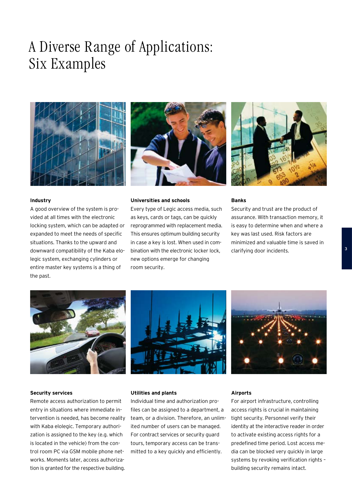### A Diverse Range of Applications: Six Examples







#### **Industry**

A good overview of the system is provided at all times with the electronic locking system, which can be adapted or expanded to meet the needs of specific situations. Thanks to the upward and downward compatibility of the Kaba elolegic system, exchanging cylinders or entire master key systems is a thing of the past.

#### **Universities and schools**

Every type of Legic access media, such as keys, cards or tags, can be quickly reprogrammed with replacement media. This ensures optimum building security in case a key is lost. When used in combination with the electronic locker lock, new options emerge for changing room security.

#### **Banks**

Security and trust are the product of assurance. With transaction memory, it is easy to determine when and where a key was last used. Risk factors are minimized and valuable time is saved in clarifying door incidents.







#### **Security services**

Remote access authorization to permit entry in situations where immediate intervention is needed, has become reality with Kaba elolegic. Temporary authorization is assigned to the key (e.g. which is located in the vehicle) from the control room PC via GSM mobile phone networks. Moments later, access authorization is granted for the respective building.

#### **Utilities and plants**

Individual time and authorization profiles can be assigned to a department, a team, or a division. Therefore, an unlimited number of users can be managed. For contract services or security guard tours, temporary access can be transmitted to a key quickly and efficiently.

#### **Airports**

For airport infrastructure, controlling access rights is crucial in maintaining tight security. Personnel verify their identity at the interactive reader in order to activate existing access rights for a predefined time period. Lost access media can be blocked very quickly in large systems by revoking verification rights – building security remains intact.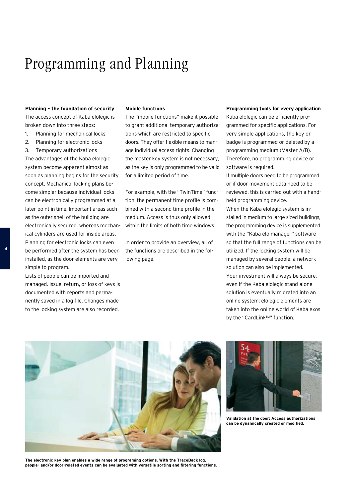## Programming and Planning

#### **Planning – the foundation of security**

The access concept of Kaba elolegic is broken down into three steps:

- Planning for mechanical locks 1.
- Planning for electronic locks 2.
- Temporary authorizations 3.

The advantages of the Kaba elolegic system become apparent almost as soon as planning begins for the security concept. Mechanical locking plans become simpler because individual locks can be electronically programmed at a later point in time. Important areas such as the outer shell of the building are electronically secured, whereas mechanical cylinders are used for inside areas. Planning for electronic locks can even be performed after the system has been installed, as the door elements are very simple to program.

Lists of people can be imported and managed. Issue, return, or loss of keys is documented with reports and permanently saved in a log file. Changes made to the locking system are also recorded.

#### **Mobile functions**

The "mobile functions" make it possible to grant additional temporary authorizations which are restricted to specific doors. They offer flexible means to manage individual access rights. Changing the master key system is not necessary, as the key is only programmed to be valid for a limited period of time.

For example, with the "TwinTime" function, the permanent time profile is combined with a second time profile in the medium. Access is thus only allowed within the limits of both time windows.

In order to provide an overview, all of the functions are described in the following page.

#### **Programming tools for every application**

Kaba elolegic can be efficiently programmed for specific applications. For very simple applications, the key or badge is programmed or deleted by a programming medium (Master A/B). Therefore, no programming device or software is required.

If multiple doors need to be programmed or if door movement data need to be reviewed, this is carried out with a handheld programming device.

When the Kaba elolegic system is installed in medium to large sized buildings, the programming device is supplemented with the "Kaba elo manager" software so that the full range of functions can be utilized. If the locking system will be managed by several people, a network solution can also be implemented. Your investment will always be secure, even if the Kaba elolegic stand-alone solution is eventually migrated into an online system: elolegic elements are taken into the online world of Kaba exos by the "CardLink™" function.



**The electronic key plan enables a wide range of programing options. With the TraceBack log, people- and/or door-related events can be evaluated with versatile sorting and filtering functions.** 



**Validation at the door: Access authorizations can be dynamically created or modified.**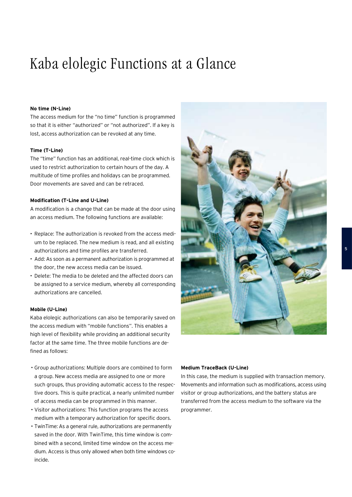## Kaba elolegic Functions at a Glance

#### **No time (N-Line)**

The access medium for the "no time" function is programmed so that it is either "authorized" or "not authorized". If a key is lost, access authorization can be revoked at any time.

#### **Time (T-Line)**

The "time" function has an additional, real-time clock which is used to restrict authorization to certain hours of the day. A multitude of time profiles and holidays can be programmed. Door movements are saved and can be retraced.

#### **Modification (T-Line and U-Line)**

A modification is a change that can be made at the door using an access medium. The following functions are available:

- Replace: The authorization is revoked from the access medium to be replaced. The new medium is read, and all existing authorizations and time profiles are transferred.
- Add: As soon as a permanent authorization is programmed at the door, the new access media can be issued.
- Delete: The media to be deleted and the affected doors can be assigned to a service medium, whereby all corresponding authorizations are cancelled.

#### **Mobile (U-Line)**

Kaba elolegic authorizations can also be temporarily saved on the access medium with "mobile functions". This enables a high level of flexibility while providing an additional security factor at the same time. The three mobile functions are defined as follows:

- Group authorizations: Multiple doors are combined to form a group. New access media are assigned to one or more such groups, thus providing automatic access to the respective doors. This is quite practical, a nearly unlimited number of access media can be programmed in this manner.
- Visitor authorizations: This function programs the access medium with a temporary authorization for specific doors.
- TwinTime: As a general rule, authorizations are permanently saved in the door. With TwinTime, this time window is combined with a second, limited time window on the access medium. Access is thus only allowed when both time windows coincide.

#### **Medium TraceBack (U-Line)**

In this case, the medium is supplied with transaction memory. Movements and information such as modifications, access using visitor or group authorizations, and the battery status are transferred from the access medium to the software via the programmer.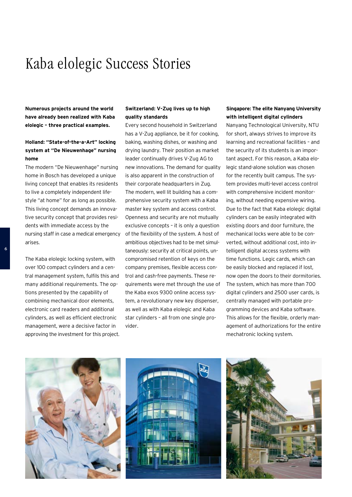### Kaba elolegic Success Stories

**Numerous projects around the world have already been realized with Kaba elolegic – three practical examples.**

### **Holland: "State-of-the-a-Art" locking system at "De Nieuwenhage" nursing home**

The modern "De Nieuwenhage" nursing home in Bosch has developed a unique living concept that enables its residents to live a completely independent lifestyle "at home" for as long as possible. This living concept demands an innovative security concept that provides residents with immediate access by the nursing staff in case a medical emergency arises.

The Kaba elolegic locking system, with over 100 compact cylinders and a central management system, fulfils this and many additional requirements. The options presented by the capability of combining mechanical door elements, electronic card readers and additional cylinders, as well as efficient electronic management, were a decisive factor in approving the investment for this project.

#### **Switzerland: V-Zug lives up to high quality standards**

Every second household in Switzerland has a V-Zug appliance, be it for cooking, baking, washing dishes, or washing and drying laundry. Their position as market leader continually drives V-Zug AG to new innovations. The demand for quality is also apparent in the construction of their corporate headquarters in Zug. The modern, well lit building has a comprehensive security system with a Kaba master key system and access control. Openness and security are not mutually exclusive concepts – it is only a question of the flexibility of the system. A host of ambitious objectives had to be met simultaneously: security at critical points, uncompromised retention of keys on the company premises, flexible access control and cash-free payments. These requirements were met through the use of the Kaba exos 9300 online access system, a revolutionary new key dispenser, as well as with Kaba elolegic and Kaba star cylinders – all from one single provider.

#### **Singapore: The elite Nanyang University with intelligent digital cylinders**

Nanyang Technological University, NTU for short, always strives to improve its learning and recreational facilities – and the security of its students is an important aspect. For this reason, a Kaba elolegic stand-alone solution was chosen for the recently built campus. The system provides multi-level access control with comprehensive incident monitoring, without needing expensive wiring. Due to the fact that Kaba elolegic digital cylinders can be easily integrated with existing doors and door furniture, the mechanical locks were able to be converted, without additional cost, into intelligent digital access systems with time functions. Legic cards, which can be easily blocked and replaced if lost, now open the doors to their dormitories. The system, which has more than 700 digital cylinders and 2500 user cards, is centrally managed with portable programming devices and Kaba software. This allows for the flexible, orderly management of authorizations for the entire mechatronic locking system.





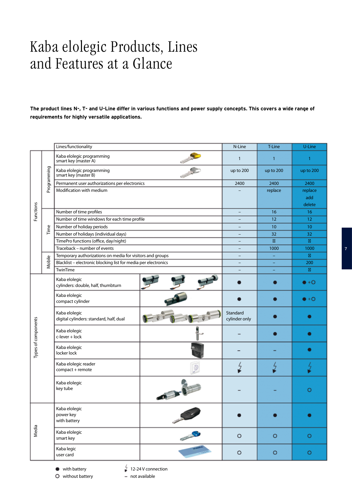### Kaba elolegic Products, Lines and Features at a Glance

|                     |             | The product lines N-, T- and U-Line differ in various functions and power supply concepts. This covers a wide range of |           |                           |              |                |   |
|---------------------|-------------|------------------------------------------------------------------------------------------------------------------------|-----------|---------------------------|--------------|----------------|---|
|                     |             | requirements for highly versatile applications.                                                                        |           |                           |              |                |   |
|                     |             |                                                                                                                        |           |                           |              |                |   |
|                     |             | Lines/functionality                                                                                                    |           |                           | T-Line       | U-Line         |   |
| <b>Functions</b>    | Programming | Kaba elolegic programming<br>smart key (master A)                                                                      |           | $\mathbf{1}$              | $\mathbf{1}$ | 1              |   |
|                     |             | Kaba elolegic programming<br>smart key (master B)                                                                      |           | up to 200                 | up to 200    | up to 200      |   |
|                     |             | Permanent user authorizations per electronics                                                                          |           | 2400                      | 2400         | 2400           |   |
|                     |             | Modification with medium                                                                                               |           |                           | replace      | replace        |   |
|                     |             |                                                                                                                        |           |                           |              | add            |   |
|                     |             | Number of time profiles                                                                                                |           | $\overline{\phantom{m}}$  | 16           | delete<br>16   |   |
|                     | Time        | Number of time windows for each time profile                                                                           |           | $\equiv$                  | 12           | 12             |   |
|                     |             | Number of holiday periods                                                                                              |           | $\equiv$                  | 10           | 10             |   |
|                     |             | Number of holidays (individual days)                                                                                   |           | $\equiv$                  | 32           | 32             |   |
|                     |             | TimePro functions (office, day/night)                                                                                  |           | $\equiv$                  |              |                |   |
|                     |             | Traceback – number of events                                                                                           |           | $\equiv$                  | 1000         | 1000           | 7 |
|                     | Mobile      | Temporary authorizations on media for visitors and groups                                                              |           | $\overline{\phantom{a}}$  |              |                |   |
|                     |             | Blacklist - electronic blocking list for media per electronics                                                         |           |                           |              | 200            |   |
|                     |             | TwinTime                                                                                                               |           |                           |              |                |   |
|                     |             | Kaba elolegic<br>cylinders: double, half, thumbturn                                                                    |           |                           |              | $\bullet$ +O   |   |
|                     |             | Kaba elolegic<br>compact cylinder                                                                                      |           |                           |              | $\bullet$ +O   |   |
|                     |             | Kaba elolegic<br>digital cylinders: standard, half, dual                                                               |           | Standard<br>cylinder only |              | $\blacksquare$ |   |
| Types of components |             | Kaba elolegic<br>c-lever + lock                                                                                        |           |                           |              |                |   |
|                     |             | Kaba elolegic<br>locker lock                                                                                           |           |                           |              |                |   |
|                     |             | Kaba elolegic reader<br>compact + remote                                                                               | 1<br>ستنا |                           |              |                |   |
|                     |             | Kaba elolegic<br>key tube                                                                                              | $0 + 0$   |                           |              | $\circ$        |   |
|                     |             | Kaba elolegic<br>power key<br>with battery                                                                             |           |                           |              | $\bullet$      |   |
| Media               |             | Kaba elolegic<br>smart key                                                                                             |           | $\circ$                   | $\circ$      | $\circ$        |   |
|                     |             | Kaba legic<br>user card                                                                                                |           | $\circ$                   | $\circ$      | $\circ$        |   |

with battery

without battery 

12-24 V connection

- not available